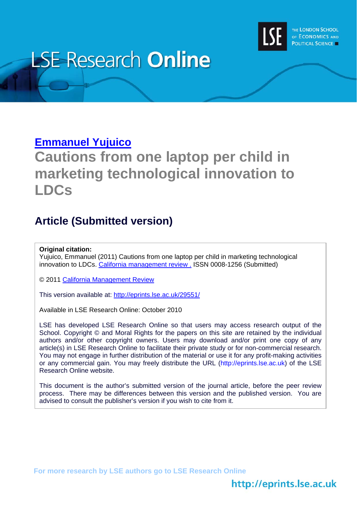

# **LSE Research Online**

## **[Emmanuel Yujuico](http://www2.lse.ac.uk/researchAndExpertise/Experts/profile.aspx?KeyValue=e.yujuico@lse.ac.uk)**

# **Cautions from one laptop per child in marketing technological innovation to LDCs**

# **Article (Submitted version)**

#### **Original citation:**

Yujuico, Emmanuel (2011) Cautions from one laptop per child in marketing technological innovation to LDCs. [California management review .](http://cmr.berkeley.edu/) ISSN 0008-1256 (Submitted)

© 2011 [California Management Review](http://cmr.berkeley.edu/)

This version available at: <http://eprints.lse.ac.uk/29551/>

Available in LSE Research Online: October 2010

LSE has developed LSE Research Online so that users may access research output of the School. Copyright © and Moral Rights for the papers on this site are retained by the individual authors and/or other copyright owners. Users may download and/or print one copy of any article(s) in LSE Research Online to facilitate their private study or for non-commercial research. You may not engage in further distribution of the material or use it for any profit-making activities or any commercial gain. You may freely distribute the URL (http://eprints.lse.ac.uk) of the LSE Research Online website.

This document is the author's submitted version of the journal article, before the peer review process. There may be differences between this version and the published version. You are advised to consult the publisher's version if you wish to cite from it.

**For more research by LSE authors go to [LSE Research Online](http://eprints.lse.ac.uk/)** 

## http://eprints.lse.ac.uk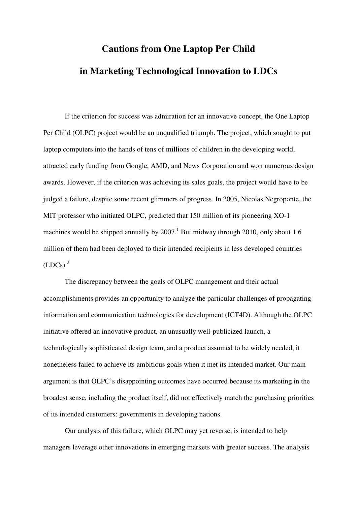# **Cautions from One Laptop Per Child in Marketing Technological Innovation to LDCs**

If the criterion for success was admiration for an innovative concept, the One Laptop Per Child (OLPC) project would be an unqualified triumph. The project, which sought to put laptop computers into the hands of tens of millions of children in the developing world, attracted early funding from Google, AMD, and News Corporation and won numerous design awards. However, if the criterion was achieving its sales goals, the project would have to be judged a failure, despite some recent glimmers of progress. In 2005, Nicolas Negroponte, the MIT professor who initiated OLPC, predicted that 150 million of its pioneering XO-1 machines would be shipped annually by  $2007<sup>1</sup>$  But midway through 2010, only about 1.6 million of them had been deployed to their intended recipients in less developed countries  $(LDCs)<sup>2</sup>$ 

The discrepancy between the goals of OLPC management and their actual accomplishments provides an opportunity to analyze the particular challenges of propagating information and communication technologies for development (ICT4D). Although the OLPC initiative offered an innovative product, an unusually well-publicized launch, a technologically sophisticated design team, and a product assumed to be widely needed, it nonetheless failed to achieve its ambitious goals when it met its intended market. Our main argument is that OLPC's disappointing outcomes have occurred because its marketing in the broadest sense, including the product itself, did not effectively match the purchasing priorities of its intended customers: governments in developing nations.

Our analysis of this failure, which OLPC may yet reverse, is intended to help managers leverage other innovations in emerging markets with greater success. The analysis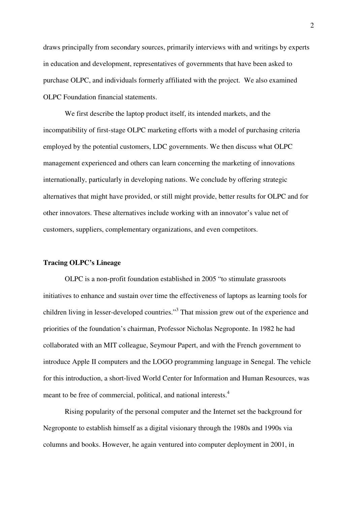draws principally from secondary sources, primarily interviews with and writings by experts in education and development, representatives of governments that have been asked to purchase OLPC, and individuals formerly affiliated with the project. We also examined OLPC Foundation financial statements.

We first describe the laptop product itself, its intended markets, and the incompatibility of first-stage OLPC marketing efforts with a model of purchasing criteria employed by the potential customers, LDC governments. We then discuss what OLPC management experienced and others can learn concerning the marketing of innovations internationally, particularly in developing nations. We conclude by offering strategic alternatives that might have provided, or still might provide, better results for OLPC and for other innovators. These alternatives include working with an innovator's value net of customers, suppliers, complementary organizations, and even competitors.

#### **Tracing OLPC's Lineage**

 OLPC is a non-profit foundation established in 2005 "to stimulate grassroots initiatives to enhance and sustain over time the effectiveness of laptops as learning tools for children living in lesser-developed countries."<sup>3</sup> That mission grew out of the experience and priorities of the foundation's chairman, Professor Nicholas Negroponte. In 1982 he had collaborated with an MIT colleague, Seymour Papert, and with the French government to introduce Apple II computers and the LOGO programming language in Senegal. The vehicle for this introduction, a short-lived World Center for Information and Human Resources, was meant to be free of commercial, political, and national interests.<sup>4</sup>

Rising popularity of the personal computer and the Internet set the background for Negroponte to establish himself as a digital visionary through the 1980s and 1990s via columns and books. However, he again ventured into computer deployment in 2001, in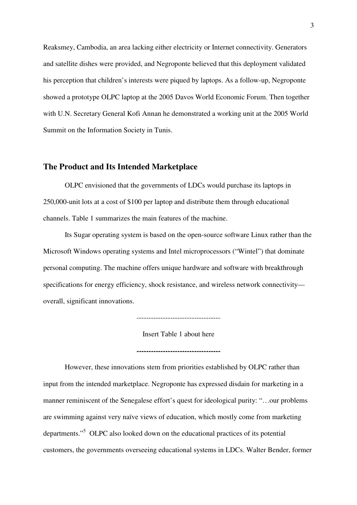Reaksmey, Cambodia, an area lacking either electricity or Internet connectivity. Generators and satellite dishes were provided, and Negroponte believed that this deployment validated his perception that children's interests were piqued by laptops. As a follow-up, Negroponte showed a prototype OLPC laptop at the 2005 Davos World Economic Forum. Then together with U.N. Secretary General Kofi Annan he demonstrated a working unit at the 2005 World Summit on the Information Society in Tunis.

#### **The Product and Its Intended Marketplace**

OLPC envisioned that the governments of LDCs would purchase its laptops in 250,000-unit lots at a cost of \$100 per laptop and distribute them through educational channels. Table 1 summarizes the main features of the machine.

Its Sugar operating system is based on the open-source software Linux rather than the Microsoft Windows operating systems and Intel microprocessors ("Wintel") that dominate personal computing. The machine offers unique hardware and software with breakthrough specifications for energy efficiency, shock resistance, and wireless network connectivity overall, significant innovations.

-----------------------------------

Insert Table 1 about here

**-----------------------------------** 

However, these innovations stem from priorities established by OLPC rather than input from the intended marketplace. Negroponte has expressed disdain for marketing in a manner reminiscent of the Senegalese effort's quest for ideological purity: "…our problems are swimming against very naïve views of education, which mostly come from marketing departments."<sup>5</sup>OLPC also looked down on the educational practices of its potential customers, the governments overseeing educational systems in LDCs. Walter Bender, former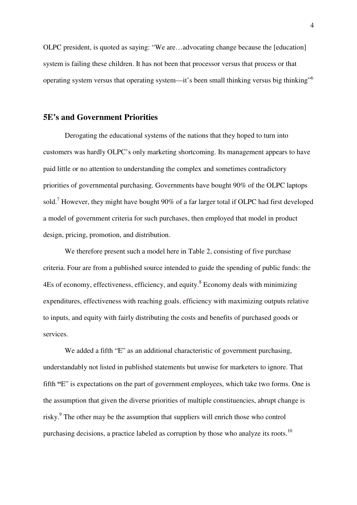OLPC president, is quoted as saying: "We are…advocating change because the [education] system is failing these children. It has not been that processor versus that process or that operating system versus that operating system—it's been small thinking versus big thinking"<sup>6</sup>

#### **5E's and Government Priorities**

Derogating the educational systems of the nations that they hoped to turn into customers was hardly OLPC's only marketing shortcoming. Its management appears to have paid little or no attention to understanding the complex and sometimes contradictory priorities of governmental purchasing. Governments have bought 90% of the OLPC laptops sold.<sup>7</sup> However, they might have bought 90% of a far larger total if OLPC had first developed a model of government criteria for such purchases, then employed that model in product design, pricing, promotion, and distribution.

We therefore present such a model here in Table 2, consisting of five purchase criteria. Four are from a published source intended to guide the spending of public funds: the 4Es of economy, effectiveness, efficiency, and equity.<sup>8</sup> Economy deals with minimizing expenditures, effectiveness with reaching goals, efficiency with maximizing outputs relative to inputs, and equity with fairly distributing the costs and benefits of purchased goods or services.

We added a fifth "E" as an additional characteristic of government purchasing, understandably not listed in published statements but unwise for marketers to ignore. That fifth **"**E" is expectations on the part of government employees, which take two forms. One is the assumption that given the diverse priorities of multiple constituencies, abrupt change is risky.<sup>9</sup> The other may be the assumption that suppliers will enrich those who control purchasing decisions, a practice labeled as corruption by those who analyze its roots.<sup>10</sup>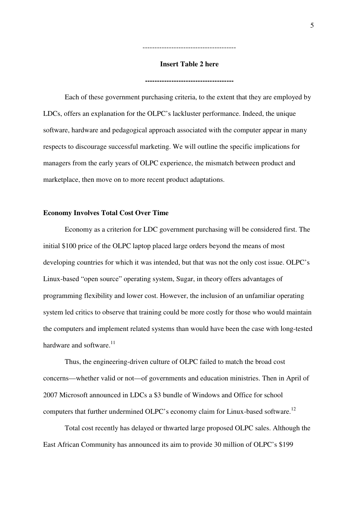#### **Insert Table 2 here**

---------------------------------------

**-------------------------------------** 

Each of these government purchasing criteria, to the extent that they are employed by LDCs, offers an explanation for the OLPC's lackluster performance. Indeed, the unique software, hardware and pedagogical approach associated with the computer appear in many respects to discourage successful marketing. We will outline the specific implications for managers from the early years of OLPC experience, the mismatch between product and marketplace, then move on to more recent product adaptations.

#### **Economy Involves Total Cost Over Time**

Economy as a criterion for LDC government purchasing will be considered first. The initial \$100 price of the OLPC laptop placed large orders beyond the means of most developing countries for which it was intended, but that was not the only cost issue. OLPC's Linux-based "open source" operating system, Sugar, in theory offers advantages of programming flexibility and lower cost. However, the inclusion of an unfamiliar operating system led critics to observe that training could be more costly for those who would maintain the computers and implement related systems than would have been the case with long-tested hardware and software.<sup>11</sup>

Thus, the engineering-driven culture of OLPC failed to match the broad cost concerns—whether valid or not—of governments and education ministries. Then in April of 2007 Microsoft announced in LDCs a \$3 bundle of Windows and Office for school computers that further undermined OLPC's economy claim for Linux-based software.<sup>12</sup>

Total cost recently has delayed or thwarted large proposed OLPC sales. Although the East African Community has announced its aim to provide 30 million of OLPC's \$199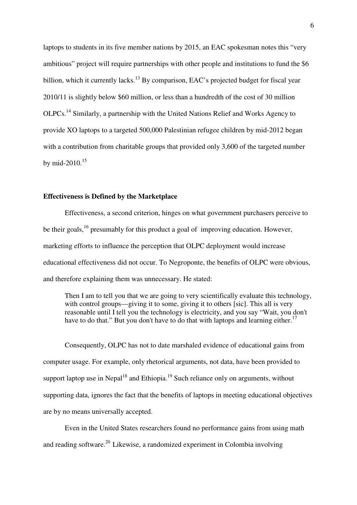laptops to students in its five member nations by 2015, an EAC spokesman notes this "very ambitious" project will require partnerships with other people and institutions to fund the \$6 billion, which it currently lacks.<sup>13</sup> By comparison, EAC's projected budget for fiscal year 2010/11 is slightly below \$60 million, or less than a hundredth of the cost of 30 million OLPCs.<sup>14</sup> Similarly, a partnership with the United Nations Relief and Works Agency to provide XO laptops to a targeted 500,000 Palestinian refugee children by mid-2012 began with a contribution from charitable groups that provided only 3,600 of the targeted number by mid-2010.<sup>15</sup>

#### **Effectiveness is Defined by the Marketplace**

Effectiveness, a second criterion, hinges on what government purchasers perceive to be their goals,<sup>16</sup> presumably for this product a goal of improving education. However, marketing efforts to influence the perception that OLPC deployment would increase educational effectiveness did not occur. To Negroponte, the benefits of OLPC were obvious, and therefore explaining them was unnecessary. He stated:

Then I am to tell you that we are going to very scientifically evaluate this technology, with control groups—giving it to some, giving it to others [sic]. This all is very reasonable until I tell you the technology is electricity, and you say "Wait, you don't have to do that." But you don't have to do that with laptops and learning either.<sup>17</sup>

Consequently, OLPC has not to date marshaled evidence of educational gains from computer usage. For example, only rhetorical arguments, not data, have been provided to support laptop use in Nepal<sup>18</sup> and Ethiopia.<sup>19</sup> Such reliance only on arguments, without supporting data, ignores the fact that the benefits of laptops in meeting educational objectives are by no means universally accepted.

Even in the United States researchers found no performance gains from using math and reading software.<sup>20</sup> Likewise, a randomized experiment in Colombia involving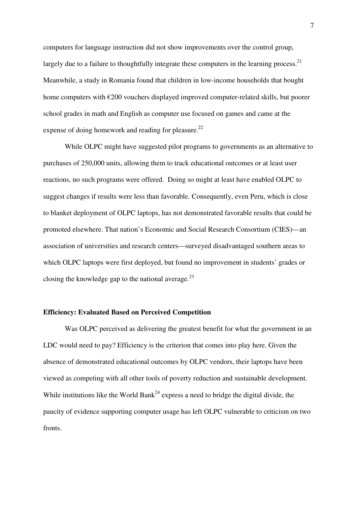computers for language instruction did not show improvements over the control group, largely due to a failure to thoughtfully integrate these computers in the learning process.<sup>21</sup> Meanwhile, a study in Romania found that children in low-income households that bought home computers with €200 vouchers displayed improved computer-related skills, but poorer school grades in math and English as computer use focused on games and came at the expense of doing homework and reading for pleasure.<sup>22</sup>

While OLPC might have suggested pilot programs to governments as an alternative to purchases of 250,000 units, allowing them to track educational outcomes or at least user reactions, no such programs were offered. Doing so might at least have enabled OLPC to suggest changes if results were less than favorable. Consequently, even Peru, which is close to blanket deployment of OLPC laptops, has not demonstrated favorable results that could be promoted elsewhere. That nation's Economic and Social Research Consortium (CIES)—an association of universities and research centers—surveyed disadvantaged southern areas to which OLPC laptops were first deployed, but found no improvement in students' grades or closing the knowledge gap to the national average.<sup>23</sup>

#### **Efficiency: Evaluated Based on Perceived Competition**

Was OLPC perceived as delivering the greatest benefit for what the government in an LDC would need to pay? Efficiency is the criterion that comes into play here. Given the absence of demonstrated educational outcomes by OLPC vendors, their laptops have been viewed as competing with all other tools of poverty reduction and sustainable development. While institutions like the World Bank<sup>24</sup> express a need to bridge the digital divide, the paucity of evidence supporting computer usage has left OLPC vulnerable to criticism on two fronts.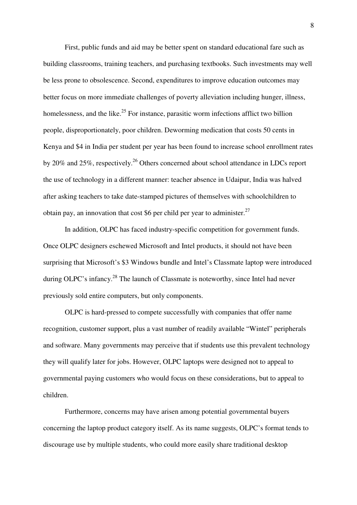First, public funds and aid may be better spent on standard educational fare such as building classrooms, training teachers, and purchasing textbooks. Such investments may well be less prone to obsolescence. Second, expenditures to improve education outcomes may better focus on more immediate challenges of poverty alleviation including hunger, illness, homelessness, and the like.<sup>25</sup> For instance, parasitic worm infections afflict two billion people, disproportionately, poor children. Deworming medication that costs 50 cents in Kenya and \$4 in India per student per year has been found to increase school enrollment rates by 20% and 25%, respectively.<sup>26</sup> Others concerned about school attendance in LDCs report the use of technology in a different manner: teacher absence in Udaipur, India was halved after asking teachers to take date-stamped pictures of themselves with schoolchildren to obtain pay, an innovation that cost \$6 per child per year to administer. $27$ 

In addition, OLPC has faced industry-specific competition for government funds. Once OLPC designers eschewed Microsoft and Intel products, it should not have been surprising that Microsoft's \$3 Windows bundle and Intel's Classmate laptop were introduced during OLPC's infancy.<sup>28</sup> The launch of Classmate is noteworthy, since Intel had never previously sold entire computers, but only components.

OLPC is hard-pressed to compete successfully with companies that offer name recognition, customer support, plus a vast number of readily available "Wintel" peripherals and software. Many governments may perceive that if students use this prevalent technology they will qualify later for jobs. However, OLPC laptops were designed not to appeal to governmental paying customers who would focus on these considerations, but to appeal to children.

Furthermore, concerns may have arisen among potential governmental buyers concerning the laptop product category itself. As its name suggests, OLPC's format tends to discourage use by multiple students, who could more easily share traditional desktop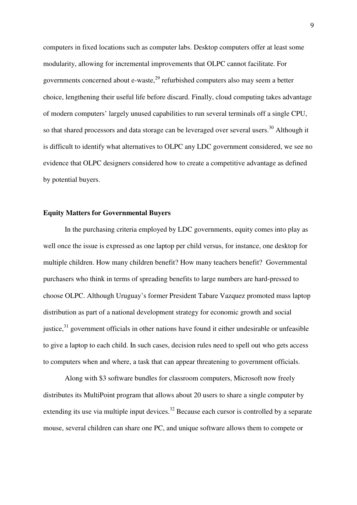computers in fixed locations such as computer labs. Desktop computers offer at least some modularity, allowing for incremental improvements that OLPC cannot facilitate. For governments concerned about e-waste, $^{29}$  refurbished computers also may seem a better choice, lengthening their useful life before discard. Finally, cloud computing takes advantage of modern computers' largely unused capabilities to run several terminals off a single CPU, so that shared processors and data storage can be leveraged over several users.<sup>30</sup> Although it is difficult to identify what alternatives to OLPC any LDC government considered, we see no evidence that OLPC designers considered how to create a competitive advantage as defined by potential buyers.

#### **Equity Matters for Governmental Buyers**

In the purchasing criteria employed by LDC governments, equity comes into play as well once the issue is expressed as one laptop per child versus, for instance, one desktop for multiple children. How many children benefit? How many teachers benefit? Governmental purchasers who think in terms of spreading benefits to large numbers are hard-pressed to choose OLPC. Although Uruguay's former President Tabare Vazquez promoted mass laptop distribution as part of a national development strategy for economic growth and social justice, $31$  government officials in other nations have found it either undesirable or unfeasible to give a laptop to each child. In such cases, decision rules need to spell out who gets access to computers when and where, a task that can appear threatening to government officials.

Along with \$3 software bundles for classroom computers, Microsoft now freely distributes its MultiPoint program that allows about 20 users to share a single computer by extending its use via multiple input devices.<sup>32</sup> Because each cursor is controlled by a separate mouse, several children can share one PC, and unique software allows them to compete or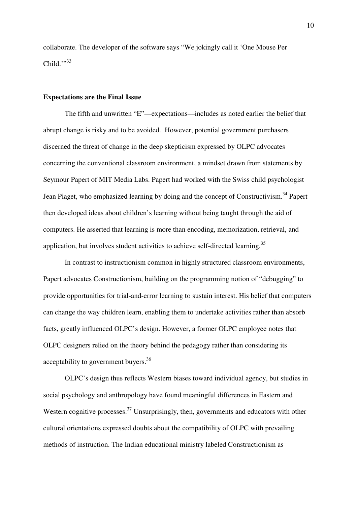collaborate. The developer of the software says "We jokingly call it 'One Mouse Per Child. $\cdots$ <sup>33</sup>

#### **Expectations are the Final Issue**

The fifth and unwritten "E"—expectations—includes as noted earlier the belief that abrupt change is risky and to be avoided. However, potential government purchasers discerned the threat of change in the deep skepticism expressed by OLPC advocates concerning the conventional classroom environment, a mindset drawn from statements by Seymour Papert of MIT Media Labs. Papert had worked with the Swiss child psychologist Jean Piaget, who emphasized learning by doing and the concept of Constructivism.<sup>34</sup> Papert then developed ideas about children's learning without being taught through the aid of computers. He asserted that learning is more than encoding, memorization, retrieval, and application, but involves student activities to achieve self-directed learning.<sup>35</sup>

In contrast to instructionism common in highly structured classroom environments, Papert advocates Constructionism, building on the programming notion of "debugging" to provide opportunities for trial-and-error learning to sustain interest. His belief that computers can change the way children learn, enabling them to undertake activities rather than absorb facts, greatly influenced OLPC's design. However, a former OLPC employee notes that OLPC designers relied on the theory behind the pedagogy rather than considering its acceptability to government buvers.<sup>36</sup>

OLPC's design thus reflects Western biases toward individual agency, but studies in social psychology and anthropology have found meaningful differences in Eastern and Western cognitive processes.<sup>37</sup> Unsurprisingly, then, governments and educators with other cultural orientations expressed doubts about the compatibility of OLPC with prevailing methods of instruction. The Indian educational ministry labeled Constructionism as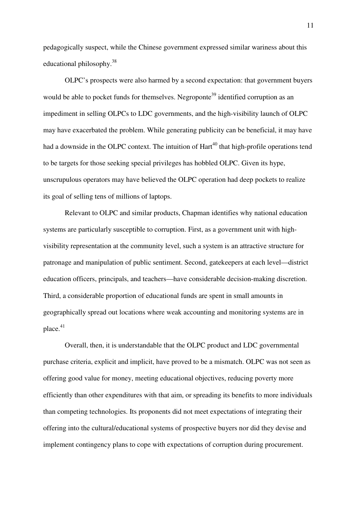pedagogically suspect, while the Chinese government expressed similar wariness about this educational philosophy.<sup>38</sup>

OLPC's prospects were also harmed by a second expectation: that government buyers would be able to pocket funds for themselves. Negroponte<sup>39</sup> identified corruption as an impediment in selling OLPCs to LDC governments, and the high-visibility launch of OLPC may have exacerbated the problem. While generating publicity can be beneficial, it may have had a downside in the OLPC context. The intuition of Hart<sup>40</sup> that high-profile operations tend to be targets for those seeking special privileges has hobbled OLPC. Given its hype, unscrupulous operators may have believed the OLPC operation had deep pockets to realize its goal of selling tens of millions of laptops.

Relevant to OLPC and similar products, Chapman identifies why national education systems are particularly susceptible to corruption. First, as a government unit with highvisibility representation at the community level, such a system is an attractive structure for patronage and manipulation of public sentiment. Second, gatekeepers at each level—district education officers, principals, and teachers—have considerable decision-making discretion. Third, a considerable proportion of educational funds are spent in small amounts in geographically spread out locations where weak accounting and monitoring systems are in place.<sup>41</sup>

Overall, then, it is understandable that the OLPC product and LDC governmental purchase criteria, explicit and implicit, have proved to be a mismatch. OLPC was not seen as offering good value for money, meeting educational objectives, reducing poverty more efficiently than other expenditures with that aim, or spreading its benefits to more individuals than competing technologies. Its proponents did not meet expectations of integrating their offering into the cultural/educational systems of prospective buyers nor did they devise and implement contingency plans to cope with expectations of corruption during procurement.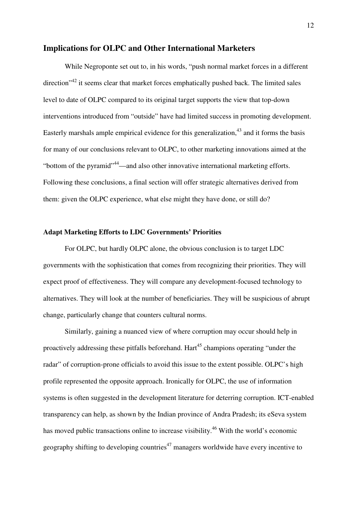#### **Implications for OLPC and Other International Marketers**

While Negroponte set out to, in his words, "push normal market forces in a different  $direction<sup>342</sup>$  it seems clear that market forces emphatically pushed back. The limited sales level to date of OLPC compared to its original target supports the view that top-down interventions introduced from "outside" have had limited success in promoting development. Easterly marshals ample empirical evidence for this generalization,  $43$  and it forms the basis for many of our conclusions relevant to OLPC, to other marketing innovations aimed at the "bottom of the pyramid"<sup>44</sup>—and also other innovative international marketing efforts. Following these conclusions, a final section will offer strategic alternatives derived from them: given the OLPC experience, what else might they have done, or still do?

#### **Adapt Marketing Efforts to LDC Governments' Priorities**

For OLPC, but hardly OLPC alone, the obvious conclusion is to target LDC governments with the sophistication that comes from recognizing their priorities. They will expect proof of effectiveness. They will compare any development-focused technology to alternatives. They will look at the number of beneficiaries. They will be suspicious of abrupt change, particularly change that counters cultural norms.

Similarly, gaining a nuanced view of where corruption may occur should help in proactively addressing these pitfalls beforehand. Hart<sup>45</sup> champions operating "under the radar" of corruption-prone officials to avoid this issue to the extent possible. OLPC's high profile represented the opposite approach. Ironically for OLPC, the use of information systems is often suggested in the development literature for deterring corruption. ICT-enabled transparency can help, as shown by the Indian province of Andra Pradesh; its eSeva system has moved public transactions online to increase visibility.<sup>46</sup> With the world's economic geography shifting to developing countries<sup> $47$ </sup> managers worldwide have every incentive to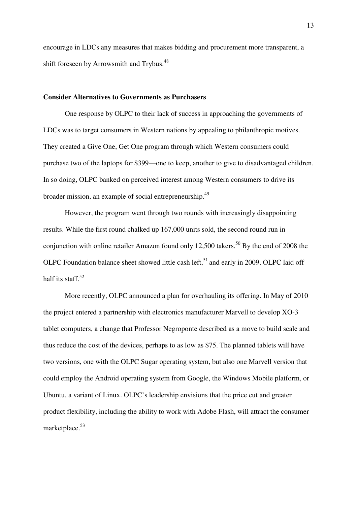encourage in LDCs any measures that makes bidding and procurement more transparent, a shift foreseen by Arrowsmith and Trybus.<sup>48</sup>

#### **Consider Alternatives to Governments as Purchasers**

One response by OLPC to their lack of success in approaching the governments of LDCs was to target consumers in Western nations by appealing to philanthropic motives. They created a Give One, Get One program through which Western consumers could purchase two of the laptops for \$399—one to keep, another to give to disadvantaged children. In so doing, OLPC banked on perceived interest among Western consumers to drive its broader mission, an example of social entrepreneurship.<sup>49</sup>

However, the program went through two rounds with increasingly disappointing results. While the first round chalked up 167,000 units sold, the second round run in conjunction with online retailer Amazon found only 12,500 takers.<sup>50</sup> By the end of 2008 the OLPC Foundation balance sheet showed little cash left,  $51$  and early in 2009, OLPC laid off half its staff. $52$ 

More recently, OLPC announced a plan for overhauling its offering. In May of 2010 the project entered a partnership with electronics manufacturer Marvell to develop XO-3 tablet computers, a change that Professor Negroponte described as a move to build scale and thus reduce the cost of the devices, perhaps to as low as \$75. The planned tablets will have two versions, one with the OLPC Sugar operating system, but also one Marvell version that could employ the Android operating system from Google, the Windows Mobile platform, or Ubuntu, a variant of Linux. OLPC's leadership envisions that the price cut and greater product flexibility, including the ability to work with Adobe Flash, will attract the consumer marketplace.<sup>53</sup>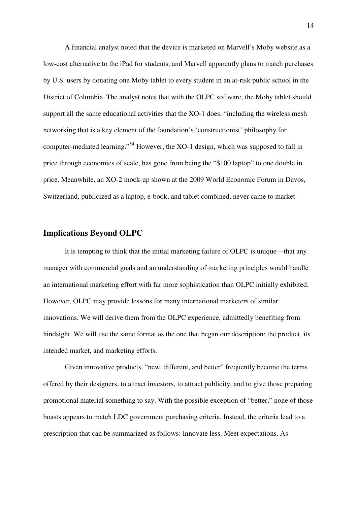A financial analyst noted that the device is marketed on Marvell's Moby website as a low-cost alternative to the iPad for students, and Marvell apparently plans to match purchases by U.S. users by donating one Moby tablet to every student in an at-risk public school in the District of Columbia. The analyst notes that with the OLPC software, the Moby tablet should support all the same educational activities that the XO-1 does, "including the wireless mesh networking that is a key element of the foundation's 'constructionist' philosophy for computer-mediated learning."<sup>54</sup> However, the XO-1 design, which was supposed to fall in price through economies of scale, has gone from being the "\$100 laptop" to one double in price. Meanwhile, an XO-2 mock-up shown at the 2009 World Economic Forum in Davos, Switzerland, publicized as a laptop, e-book, and tablet combined, never came to market.

#### **Implications Beyond OLPC**

It is tempting to think that the initial marketing failure of OLPC is unique—that any manager with commercial goals and an understanding of marketing principles would handle an international marketing effort with far more sophistication than OLPC initially exhibited. However, OLPC may provide lessons for many international marketers of similar innovations. We will derive them from the OLPC experience, admittedly benefiting from hindsight. We will use the same format as the one that began our description: the product, its intended market, and marketing efforts.

 Given innovative products, "new, different, and better" frequently become the terms offered by their designers, to attract investors, to attract publicity, and to give those preparing promotional material something to say. With the possible exception of "better," none of those boasts appears to match LDC government purchasing criteria. Instead, the criteria lead to a prescription that can be summarized as follows: Innovate less. Meet expectations. As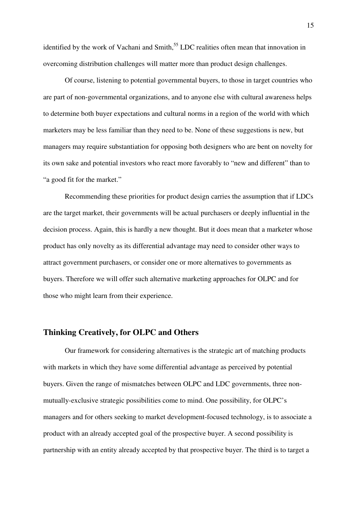identified by the work of Vachani and Smith,<sup>55</sup> LDC realities often mean that innovation in overcoming distribution challenges will matter more than product design challenges.

 Of course, listening to potential governmental buyers, to those in target countries who are part of non-governmental organizations, and to anyone else with cultural awareness helps to determine both buyer expectations and cultural norms in a region of the world with which marketers may be less familiar than they need to be. None of these suggestions is new, but managers may require substantiation for opposing both designers who are bent on novelty for its own sake and potential investors who react more favorably to "new and different" than to "a good fit for the market."

Recommending these priorities for product design carries the assumption that if LDCs are the target market, their governments will be actual purchasers or deeply influential in the decision process. Again, this is hardly a new thought. But it does mean that a marketer whose product has only novelty as its differential advantage may need to consider other ways to attract government purchasers, or consider one or more alternatives to governments as buyers. Therefore we will offer such alternative marketing approaches for OLPC and for those who might learn from their experience.

#### **Thinking Creatively, for OLPC and Others**

Our framework for considering alternatives is the strategic art of matching products with markets in which they have some differential advantage as perceived by potential buyers. Given the range of mismatches between OLPC and LDC governments, three nonmutually-exclusive strategic possibilities come to mind. One possibility, for OLPC's managers and for others seeking to market development-focused technology, is to associate a product with an already accepted goal of the prospective buyer. A second possibility is partnership with an entity already accepted by that prospective buyer. The third is to target a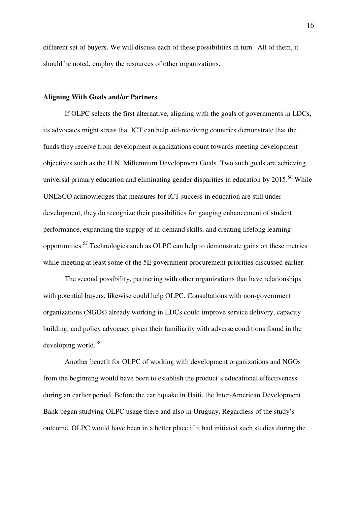different set of buyers. We will discuss each of these possibilities in turn. All of them, it should be noted, employ the resources of other organizations.

#### **Aligning With Goals and/or Partners**

If OLPC selects the first alternative, aligning with the goals of governments in LDCs, its advocates might stress that ICT can help aid-receiving countries demonstrate that the funds they receive from development organizations count towards meeting development objectives such as the U.N. Millennium Development Goals. Two such goals are achieving universal primary education and eliminating gender disparities in education by  $2015^{56}$  While UNESCO acknowledges that measures for ICT success in education are still under development, they do recognize their possibilities for gauging enhancement of student performance, expanding the supply of in-demand skills, and creating lifelong learning opportunities.<sup>57</sup> Technologies such as OLPC can help to demonstrate gains on these metrics while meeting at least some of the 5E government procurement priorities discussed earlier.

The second possibility, partnering with other organizations that have relationships with potential buyers, likewise could help OLPC. Consultations with non-government organizations (NGOs) already working in LDCs could improve service delivery, capacity building, and policy advocacy given their familiarity with adverse conditions found in the developing world.<sup>58</sup>

Another benefit for OLPC of working with development organizations and NGOs from the beginning would have been to establish the product's educational effectiveness during an earlier period. Before the earthquake in Haiti, the Inter-American Development Bank began studying OLPC usage there and also in Uruguay. Regardless of the study's outcome, OLPC would have been in a better place if it had initiated such studies during the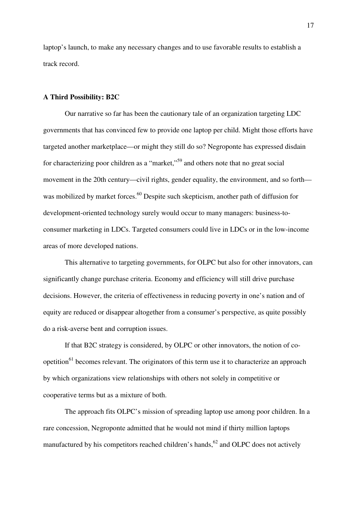laptop's launch, to make any necessary changes and to use favorable results to establish a track record.

#### **A Third Possibility: B2C**

Our narrative so far has been the cautionary tale of an organization targeting LDC governments that has convinced few to provide one laptop per child. Might those efforts have targeted another marketplace—or might they still do so? Negroponte has expressed disdain for characterizing poor children as a "market,"<sup>59</sup> and others note that no great social movement in the 20th century—civil rights, gender equality, the environment, and so forth was mobilized by market forces.<sup>60</sup> Despite such skepticism, another path of diffusion for development-oriented technology surely would occur to many managers: business-toconsumer marketing in LDCs. Targeted consumers could live in LDCs or in the low-income areas of more developed nations.

 This alternative to targeting governments, for OLPC but also for other innovators, can significantly change purchase criteria. Economy and efficiency will still drive purchase decisions. However, the criteria of effectiveness in reducing poverty in one's nation and of equity are reduced or disappear altogether from a consumer's perspective, as quite possibly do a risk-averse bent and corruption issues.

If that B2C strategy is considered, by OLPC or other innovators, the notion of coopetition<sup>61</sup> becomes relevant. The originators of this term use it to characterize an approach by which organizations view relationships with others not solely in competitive or cooperative terms but as a mixture of both.

The approach fits OLPC's mission of spreading laptop use among poor children. In a rare concession, Negroponte admitted that he would not mind if thirty million laptops manufactured by his competitors reached children's hands,  $62$  and OLPC does not actively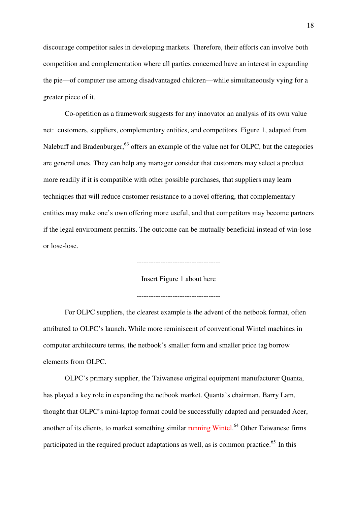discourage competitor sales in developing markets. Therefore, their efforts can involve both competition and complementation where all parties concerned have an interest in expanding the pie—of computer use among disadvantaged children—while simultaneously vying for a greater piece of it.

Co-opetition as a framework suggests for any innovator an analysis of its own value net: customers, suppliers, complementary entities, and competitors. Figure 1, adapted from Nalebuff and Bradenburger,<sup>63</sup> offers an example of the value net for OLPC, but the categories are general ones. They can help any manager consider that customers may select a product more readily if it is compatible with other possible purchases, that suppliers may learn techniques that will reduce customer resistance to a novel offering, that complementary entities may make one's own offering more useful, and that competitors may become partners if the legal environment permits. The outcome can be mutually beneficial instead of win-lose or lose-lose.

-----------------------------------

Insert Figure 1 about here

For OLPC suppliers, the clearest example is the advent of the netbook format, often attributed to OLPC's launch. While more reminiscent of conventional Wintel machines in computer architecture terms, the netbook's smaller form and smaller price tag borrow elements from OLPC.

OLPC's primary supplier, the Taiwanese original equipment manufacturer Quanta, has played a key role in expanding the netbook market. Quanta's chairman, Barry Lam, thought that OLPC's mini-laptop format could be successfully adapted and persuaded Acer, another of its clients, to market something similar running Wintel.<sup>64</sup> Other Taiwanese firms participated in the required product adaptations as well, as is common practice.<sup>65</sup> In this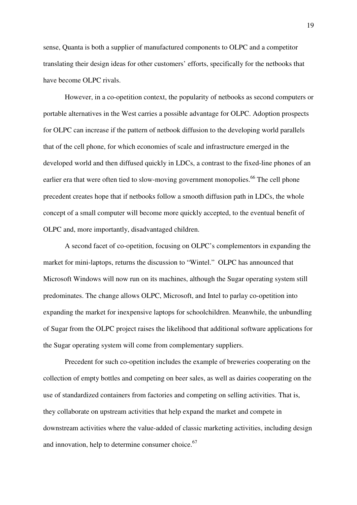sense, Quanta is both a supplier of manufactured components to OLPC and a competitor translating their design ideas for other customers' efforts, specifically for the netbooks that have become OLPC rivals.

However, in a co-opetition context, the popularity of netbooks as second computers or portable alternatives in the West carries a possible advantage for OLPC. Adoption prospects for OLPC can increase if the pattern of netbook diffusion to the developing world parallels that of the cell phone, for which economies of scale and infrastructure emerged in the developed world and then diffused quickly in LDCs, a contrast to the fixed-line phones of an earlier era that were often tied to slow-moving government monopolies.<sup>66</sup> The cell phone precedent creates hope that if netbooks follow a smooth diffusion path in LDCs, the whole concept of a small computer will become more quickly accepted, to the eventual benefit of OLPC and, more importantly, disadvantaged children.

A second facet of co-opetition, focusing on OLPC's complementors in expanding the market for mini-laptops, returns the discussion to "Wintel." OLPC has announced that Microsoft Windows will now run on its machines, although the Sugar operating system still predominates. The change allows OLPC, Microsoft, and Intel to parlay co-opetition into expanding the market for inexpensive laptops for schoolchildren. Meanwhile, the unbundling of Sugar from the OLPC project raises the likelihood that additional software applications for the Sugar operating system will come from complementary suppliers.

Precedent for such co-opetition includes the example of breweries cooperating on the collection of empty bottles and competing on beer sales, as well as dairies cooperating on the use of standardized containers from factories and competing on selling activities. That is, they collaborate on upstream activities that help expand the market and compete in downstream activities where the value-added of classic marketing activities, including design and innovation, help to determine consumer choice. $67$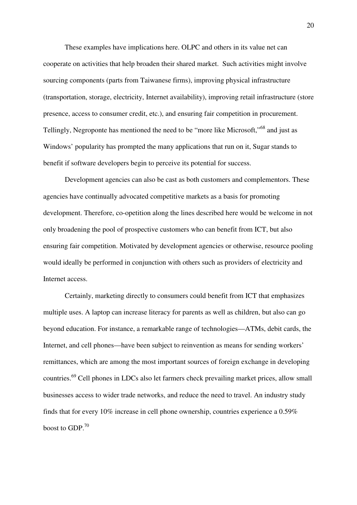These examples have implications here. OLPC and others in its value net can cooperate on activities that help broaden their shared market. Such activities might involve sourcing components (parts from Taiwanese firms), improving physical infrastructure (transportation, storage, electricity, Internet availability), improving retail infrastructure (store presence, access to consumer credit, etc.), and ensuring fair competition in procurement. Tellingly, Negroponte has mentioned the need to be "more like Microsoft,"<sup>68</sup> and just as Windows' popularity has prompted the many applications that run on it, Sugar stands to benefit if software developers begin to perceive its potential for success.

Development agencies can also be cast as both customers and complementors. These agencies have continually advocated competitive markets as a basis for promoting development. Therefore, co-opetition along the lines described here would be welcome in not only broadening the pool of prospective customers who can benefit from ICT, but also ensuring fair competition. Motivated by development agencies or otherwise, resource pooling would ideally be performed in conjunction with others such as providers of electricity and Internet access.

Certainly, marketing directly to consumers could benefit from ICT that emphasizes multiple uses. A laptop can increase literacy for parents as well as children, but also can go beyond education. For instance, a remarkable range of technologies—ATMs, debit cards, the Internet, and cell phones—have been subject to reinvention as means for sending workers' remittances, which are among the most important sources of foreign exchange in developing countries.<sup>69</sup> Cell phones in LDCs also let farmers check prevailing market prices, allow small businesses access to wider trade networks, and reduce the need to travel. An industry study finds that for every 10% increase in cell phone ownership, countries experience a 0.59% boost to GDP. $^{70}$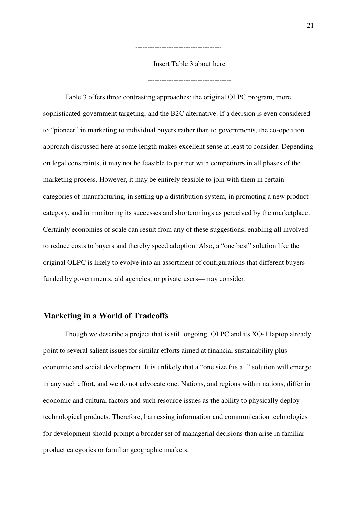Insert Table 3 about here

-----------------------------------

------------------------------------

Table 3 offers three contrasting approaches: the original OLPC program, more sophisticated government targeting, and the B2C alternative. If a decision is even considered to "pioneer" in marketing to individual buyers rather than to governments, the co-opetition approach discussed here at some length makes excellent sense at least to consider. Depending on legal constraints, it may not be feasible to partner with competitors in all phases of the marketing process. However, it may be entirely feasible to join with them in certain categories of manufacturing, in setting up a distribution system, in promoting a new product category, and in monitoring its successes and shortcomings as perceived by the marketplace. Certainly economies of scale can result from any of these suggestions, enabling all involved to reduce costs to buyers and thereby speed adoption. Also, a "one best" solution like the original OLPC is likely to evolve into an assortment of configurations that different buyers funded by governments, aid agencies, or private users—may consider.

#### **Marketing in a World of Tradeoffs**

Though we describe a project that is still ongoing, OLPC and its XO-1 laptop already point to several salient issues for similar efforts aimed at financial sustainability plus economic and social development. It is unlikely that a "one size fits all" solution will emerge in any such effort, and we do not advocate one. Nations, and regions within nations, differ in economic and cultural factors and such resource issues as the ability to physically deploy technological products. Therefore, harnessing information and communication technologies for development should prompt a broader set of managerial decisions than arise in familiar product categories or familiar geographic markets.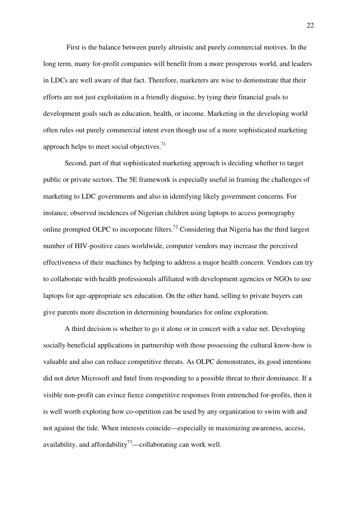First is the balance between purely altruistic and purely commercial motives. In the long term, many for-profit companies will benefit from a more prosperous world, and leaders in LDCs are well aware of that fact. Therefore, marketers are wise to demonstrate that their efforts are not just exploitation in a friendly disguise, by tying their financial goals to development goals such as education, health, or income. Marketing in the developing world often rules out purely commercial intent even though use of a more sophisticated marketing approach helps to meet social objectives. $^{71}$ 

Second, part of that sophisticated marketing approach is deciding whether to target public or private sectors. The 5E framework is especially useful in framing the challenges of marketing to LDC governments and also in identifying likely government concerns. For instance, observed incidences of Nigerian children using laptops to access pornography online prompted OLPC to incorporate filters.<sup>72</sup> Considering that Nigeria has the third largest number of HIV-positive cases worldwide, computer vendors may increase the perceived effectiveness of their machines by helping to address a major health concern. Vendors can try to collaborate with health professionals affiliated with development agencies or NGOs to use laptops for age-appropriate sex education. On the other hand, selling to private buyers can give parents more discretion in determining boundaries for online exploration.

A third decision is whether to go it alone or in concert with a value net. Developing socially beneficial applications in partnership with those possessing the cultural know-how is valuable and also can reduce competitive threats. As OLPC demonstrates, its good intentions did not deter Microsoft and Intel from responding to a possible threat to their dominance. If a visible non-profit can evince fierce competitive responses from entrenched for-profits, then it is well worth exploring how co-opetition can be used by any organization to swim with and not against the tide. When interests coincide—especially in maximizing awareness, access, availability, and affordability<sup>73</sup>—collaborating can work well.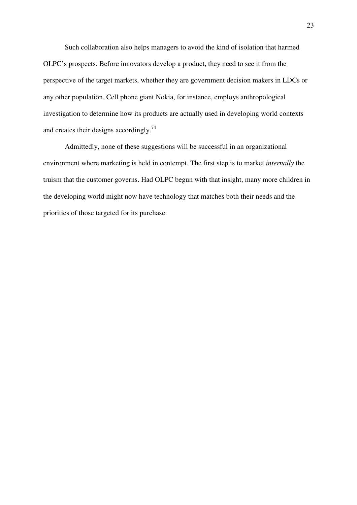Such collaboration also helps managers to avoid the kind of isolation that harmed OLPC's prospects. Before innovators develop a product, they need to see it from the perspective of the target markets, whether they are government decision makers in LDCs or any other population. Cell phone giant Nokia, for instance, employs anthropological investigation to determine how its products are actually used in developing world contexts and creates their designs accordingly.<sup>74</sup>

Admittedly, none of these suggestions will be successful in an organizational environment where marketing is held in contempt. The first step is to market *internally* the truism that the customer governs. Had OLPC begun with that insight, many more children in the developing world might now have technology that matches both their needs and the priorities of those targeted for its purchase.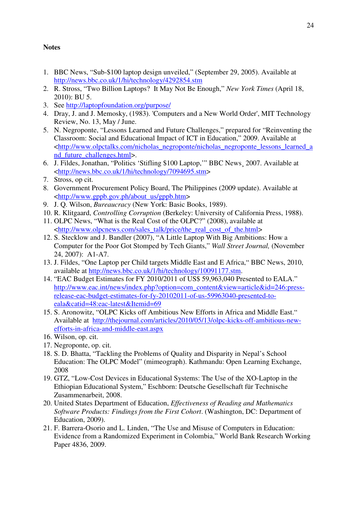#### **Notes**

- 1. BBC News, "Sub-\$100 laptop design unveiled," (September 29, 2005). Available at http://news.bbc.co.uk/1/hi/technology/4292854.stm
- 2. R. Stross, "Two Billion Laptops? It May Not Be Enough," *New York Times* (April 18, 2010): BU 5.
- 3. See http://laptopfoundation.org/purpose/
- 4. Dray, J. and J. Memosky, (1983). 'Computers and a New World Order', MIT Technology Review, No. 13, May / June.
- 5. N. Negroponte, "Lessons Learned and Future Challenges," prepared for "Reinventing the Classroom: Social and Educational Impact of ICT in Education," 2009. Available at <http://www.olpctalks.com/nicholas\_negroponte/nicholas\_negroponte\_lessons\_learned\_a nd future challenges.html>.
- 6. J. Fildes, Jonathan, "Politics 'Stifling \$100 Laptop,'" BBC News¸ 2007. Available at <http://news.bbc.co.uk/1/hi/technology/7094695.stm>
- 7. Stross, op cit.
- 8. Government Procurement Policy Board, The Philippines (2009 update). Available at <http://www.gppb.gov.ph/about\_us/gppb.htm>
- 9. J. Q. Wilson, *Bureaucracy* (New York: Basic Books, 1989).
- 10. R. Klitgaard, *Controlling Corruption* (Berkeley: University of California Press, 1988).
- 11. OLPC News, "What is the Real Cost of the OLPC?" (2008), available at <http://www.olpcnews.com/sales\_talk/price/the\_real\_cost\_of\_the.html>
- 12. S. Stecklow and J. Bandler (2007), "A Little Laptop With Big Ambitions: How a Computer for the Poor Got Stomped by Tech Giants," *Wall Street Journal,* (November 24, 2007): A1-A7.
- 13. J. Fildes, "One Laptop per Child targets Middle East and E Africa," BBC News, 2010, available at http://news.bbc.co.uk/1/hi/technology/10091177.stm.
- 14. "EAC Budget Estimates for FY 2010/2011 of US\$ 59,963,040 Presented to EALA." http://www.eac.int/news/index.php?option=com\_content&view=article&id=246:pressrelease-eac-budget-estimates-for-fy-20102011-of-us-59963040-presented-toeala&catid=48:eac-latest&Itemid=69
- 15. S. Aronowitz, "OLPC Kicks off Ambitious New Efforts in Africa and Middle East." Available at http://thejournal.com/articles/2010/05/13/olpc-kicks-off-ambitious-newefforts-in-africa-and-middle-east.aspx
- 16. Wilson, op. cit.
- 17. Negroponte, op. cit.
- 18. S. D. Bhatta, "Tackling the Problems of Quality and Disparity in Nepal's School Education: The OLPC Model" (mimeograph). Kathmandu: Open Learning Exchange, 2008
- 19. GTZ, "Low-Cost Devices in Educational Systems: The Use of the XO-Laptop in the Ethiopian Educational System," Eschborn: Deutsche Gesellschaft für Technische Zusammenarbeit, 2008.
- 20. United States Department of Education, *Effectiveness of Reading and Mathematics Software Products: Findings from the First Cohort*. (Washington, DC: Department of Education, 2009).
- 21. F. Barrera-Osorio and L. Linden, "The Use and Misuse of Computers in Education: Evidence from a Randomized Experiment in Colombia," World Bank Research Working Paper 4836, 2009.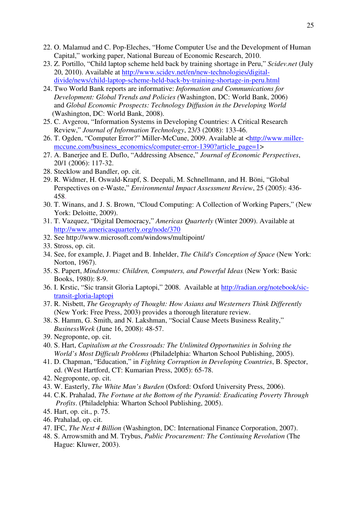- 22. O. Malamud and C. Pop-Eleches, "Home Computer Use and the Development of Human Capital," working paper, National Bureau of Economic Research, 2010.
- 23. Z. Portillo, "Child laptop scheme held back by training shortage in Peru," *Scidev.net* (July 20, 2010). Available at http://www.scidev.net/en/new-technologies/digitaldivide/news/child-laptop-scheme-held-back-by-training-shortage-in-peru.html
- 24. Two World Bank reports are informative: *Information and Communications for Development: Global Trends and Policies (*Washington, DC: World Bank, 2006) and *Global Economic Prospects: Technology Diffusion in the Developing World*  (Washington, DC: World Bank, 2008).
- 25. C. Avgerou, "Information Systems in Developing Countries: A Critical Research Review," *Journal of Information Technology*, 23/3 (2008): 133-46.
- 26. T. Ogden, "Computer Error?" Miller-McCune, 2009. Available at <http://www.millermccune.com/business\_economics/computer-error-1390?article\_page=1>
- 27. A. Banerjee and E. Duflo, "Addressing Absence," *Journal of Economic Perspectives*, 20/1 (2006): 117-32.
- 28. Stecklow and Bandler, op. cit.
- 29. R. Widmer, H. Oswald-Krapf, S. Deepali, M. Schnellmann, and H. Böni, "Global Perspectives on e-Waste," *Environmental Impact Assessment Review*, 25 (2005): 436- 458.
- 30. T. Winans, and J. S. Brown, "Cloud Computing: A Collection of Working Papers," (New York: Deloitte, 2009).
- 31. T. Vazquez, "Digital Democracy," *Americas Quarterly* (Winter 2009). Available at http://www.americasquarterly.org/node/370
- 32. See http://www.microsoft.com/windows/multipoint/
- 33. Stross, op. cit.
- 34. See, for example, J. Piaget and B. Inhelder, *The Child's Conception of Space* (New York: Norton, 1967).
- 35. S. Papert, *Mindstorms: Children, Computers, and Powerful Ideas* (New York: Basic Books, 1980): 8-9.
- 36. I. Krstic, "Sic transit Gloria Laptopi," 2008. Available at http://radian.org/notebook/sictransit-gloria-laptopi
- 37. R. Nisbett, *The Geography of Thought: How Asians and Westerners Think Differently* (New York: Free Press, 2003) provides a thorough literature review.
- 38. S. Hamm, G. Smith, and N. Lakshman, "Social Cause Meets Business Reality," *BusinessWeek* (June 16, 2008): 48-57.
- 39. Negroponte, op. cit.
- 40. S. Hart, *Capitalism at the Crossroads: The Unlimited Opportunities in Solving the World's Most Difficult Problems* (Philadelphia: Wharton School Publishing, 2005).
- 41. D. Chapman, "Education," in *Fighting Corruption in Developing Countries*, B. Spector, ed. (West Hartford, CT: Kumarian Press, 2005): 65-78.
- 42. Negroponte, op. cit.
- 43. W. Easterly, *The White Man's Burden* (Oxford: Oxford University Press, 2006).
- 44. C.K. Prahalad, *The Fortune at the Bottom of the Pyramid: Eradicating Poverty Through Profits*. (Philadelphia: Wharton School Publishing, 2005).
- 45. Hart, op. cit., p. 75.
- 46. Prahalad, op. cit.
- 47. IFC, *The Next 4 Billion* (Washington, DC: International Finance Corporation, 2007).
- 48. S. Arrowsmith and M. Trybus, *Public Procurement: The Continuing Revolution* (The Hague: Kluwer, 2003).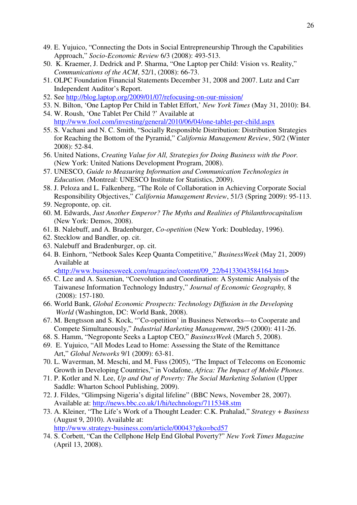- 49. E. Yujuico, "Connecting the Dots in Social Entrepreneurship Through the Capabilities Approach," *Socio-Economic Review* 6/3 (2008): 493-513.
- 50. K. Kraemer, J. Dedrick and P. Sharma, "One Laptop per Child: Vision vs. Reality," *Communications of the ACM*, 52/1, (2008): 66-73.
- 51. OLPC Foundation Financial Statements December 31, 2008 and 2007. Lutz and Carr Independent Auditor's Report.
- 52. See http://blog.laptop.org/2009/01/07/refocusing-on-our-mission/
- 53. N. Bilton, 'One Laptop Per Child in Tablet Effort,' *New York Times* (May 31, 2010): B4.
- 54. W. Roush, 'One Tablet Per Child ?' Available at http://www.fool.com/investing/general/2010/06/04/one-tablet-per-child.aspx
- 55. S. Vachani and N. C. Smith, "Socially Responsible Distribution: Distribution Strategies for Reaching the Bottom of the Pyramid," *California Management Review*, 50/2 (Winter 2008): 52-84.
- 56. United Nations, *Creating Value for All, Strategies for Doing Business with the Poor.* (New York: United Nations Development Program, 2008).
- 57. UNESCO, *Guide to Measuring Information and Communication Technologies in Education. (*Montreal: UNESCO Institute for Statistics, 2009).
- 58. J. Peloza and L. Falkenberg, "The Role of Collaboration in Achieving Corporate Social Responsibility Objectives," *California Management Review*, 51/3 (Spring 2009): 95-113.
- 59. Negroponte, op. cit.
- 60. M. Edwards, *Just Another Emperor? The Myths and Realities of Philanthrocapitalism* (New York: Demos, 2008).
- 61. B. Nalebuff, and A. Bradenburger, *Co-opetition* (New York: Doubleday, 1996).
- 62. Stecklow and Bandler, op. cit.
- 63. Nalebuff and Bradenburger, op. cit.
- 64. B. Einhorn, "Netbook Sales Keep Quanta Competitive," *BusinessWeek* (May 21, 2009) Available at

<http://www.businessweek.com/magazine/content/09\_22/b4133043584164.htm>

- 65. C. Lee and A. Saxenian, "Coevolution and Coordination: A Systemic Analysis of the Taiwanese Information Technology Industry," *Journal of Economic Geography,* 8 (2008): 157-180.
- 66. World Bank, *Global Economic Prospects: Technology Diffusion in the Developing World* (Washington, DC: World Bank, 2008).
- 67. M. Bengtsson and S. Kock, "'Co-opetition' in Business Networks—to Cooperate and Compete Simultaneously," *Industrial Marketing Management*, 29/5 (2000): 411-26.
- 68. S. Hamm, "Negroponte Seeks a Laptop CEO," *BusinessWeek* (March 5, 2008).
- 69. E. Yujuico, "All Modes Lead to Home: Assessing the State of the Remittance Art," *Global Networks* 9/1 (2009): 63-81.
- 70. L. Waverman, M. Meschi, and M. Fuss (2005), "The Impact of Telecoms on Economic Growth in Developing Countries," in Vodafone, *Africa: The Impact of Mobile Phones*.
- 71. P. Kotler and N. Lee, *Up and Out of Poverty: The Social Marketing Solution* (Upper Saddle: Wharton School Publishing, 2009).
- 72. J. Fildes, "Glimpsing Nigeria's digital lifeline" (BBC News, November 28, 2007). Available at: http://news.bbc.co.uk/1/hi/technology/7115348.stm
- 73. A. Kleiner, "The Life's Work of a Thought Leader: C.K. Prahalad," *Strategy + Business* (August 9, 2010). Available at: http://www.strategy-business.com/article/00043?gko=bcd57
- 74. S. Corbett, "Can the Cellphone Help End Global Poverty?" *New York Times Magazine* (April 13, 2008).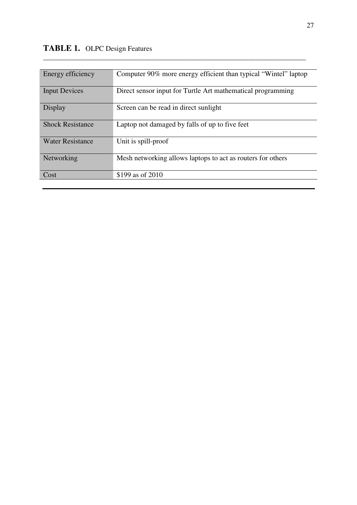| Energy efficiency       | Computer 90% more energy efficient than typical "Wintel" laptop |
|-------------------------|-----------------------------------------------------------------|
| <b>Input Devices</b>    | Direct sensor input for Turtle Art mathematical programming     |
| Display                 | Screen can be read in direct sunlight                           |
| <b>Shock Resistance</b> | Laptop not damaged by falls of up to five feet                  |
| <b>Water Resistance</b> | Unit is spill-proof                                             |
| Networking              | Mesh networking allows laptops to act as routers for others     |
| Cost                    | \$199 as of 2010                                                |
|                         |                                                                 |

\_\_\_\_\_\_\_\_\_\_\_\_\_\_\_\_\_\_\_\_\_\_\_\_\_\_\_\_\_\_\_\_\_\_\_\_\_\_\_\_\_\_\_\_\_\_\_\_\_\_\_\_\_\_\_\_\_\_\_\_\_\_\_\_\_\_\_\_\_\_\_\_\_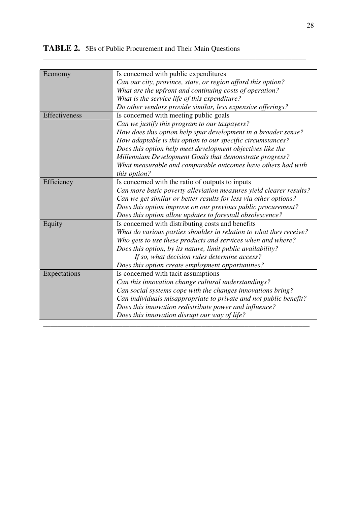### **TABLE 2.** 5Es of Public Procurement and Their Main Questions

| Economy       | Is concerned with public expenditures                              |  |
|---------------|--------------------------------------------------------------------|--|
|               | Can our city, province, state, or region afford this option?       |  |
|               | What are the upfront and continuing costs of operation?            |  |
|               | What is the service life of this expenditure?                      |  |
|               | Do other vendors provide similar, less expensive offerings?        |  |
| Effectiveness | Is concerned with meeting public goals                             |  |
|               | Can we justify this program to our taxpayers?                      |  |
|               | How does this option help spur development in a broader sense?     |  |
|               | How adaptable is this option to our specific circumstances?        |  |
|               | Does this option help meet development objectives like the         |  |
|               | Millennium Development Goals that demonstrate progress?            |  |
|               | What measurable and comparable outcomes have others had with       |  |
|               | this option?                                                       |  |
| Efficiency    | Is concerned with the ratio of outputs to inputs                   |  |
|               | Can more basic poverty alleviation measures yield clearer results? |  |
|               | Can we get similar or better results for less via other options?   |  |
|               | Does this option improve on our previous public procurement?       |  |
|               | Does this option allow updates to forestall obsolescence?          |  |
| Equity        | Is concerned with distributing costs and benefits                  |  |
|               | What do various parties shoulder in relation to what they receive? |  |
|               | Who gets to use these products and services when and where?        |  |
|               | Does this option, by its nature, limit public availability?        |  |
|               | If so, what decision rules determine access?                       |  |
|               | Does this option create employment opportunities?                  |  |
| Expectations  | Is concerned with tacit assumptions                                |  |
|               | Can this innovation change cultural understandings?                |  |
|               | Can social systems cope with the changes innovations bring?        |  |
|               | Can individuals misappropriate to private and not public benefit?  |  |
|               | Does this innovation redistribute power and influence?             |  |
|               | Does this innovation disrupt our way of life?                      |  |
|               |                                                                    |  |

\_\_\_\_\_\_\_\_\_\_\_\_\_\_\_\_\_\_\_\_\_\_\_\_\_\_\_\_\_\_\_\_\_\_\_\_\_\_\_\_\_\_\_\_\_\_\_\_\_\_\_\_\_\_\_\_\_\_\_\_\_\_\_\_\_\_\_\_\_\_\_\_\_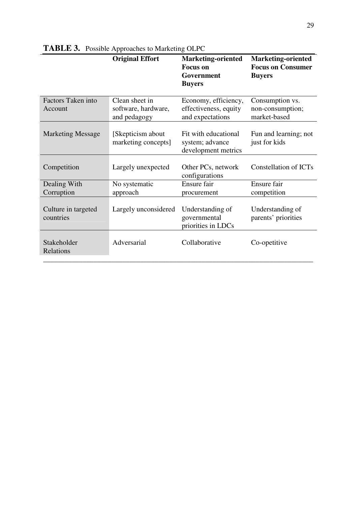|                                  | <b>Original Effort</b>                                | <b>Marketing-oriented</b><br><b>Focus</b> on<br>Government<br><b>Buyers</b> | <b>Marketing-oriented</b><br><b>Focus on Consumer</b><br><b>Buyers</b> |
|----------------------------------|-------------------------------------------------------|-----------------------------------------------------------------------------|------------------------------------------------------------------------|
| Factors Taken into<br>Account    | Clean sheet in<br>software, hardware,<br>and pedagogy | Economy, efficiency,<br>effectiveness, equity<br>and expectations           | Consumption vs.<br>non-consumption;<br>market-based                    |
| <b>Marketing Message</b>         | [Skepticism about]<br>marketing concepts]             | Fit with educational<br>system; advance<br>development metrics              | Fun and learning; not<br>just for kids                                 |
| Competition                      | Largely unexpected                                    | Other PCs, network<br>configurations                                        | Constellation of ICTs                                                  |
| Dealing With<br>Corruption       | No systematic<br>approach                             | Ensure fair<br>procurement                                                  | Ensure fair<br>competition                                             |
| Culture in targeted<br>countries | Largely unconsidered                                  | Understanding of<br>governmental<br>priorities in LDCs                      | Understanding of<br>parents' priorities                                |
| Stakeholder<br>Relations         | Adversarial                                           | Collaborative                                                               | Co-opetitive                                                           |

**TABLE 3.** Possible Approaches to Marketing OLPC